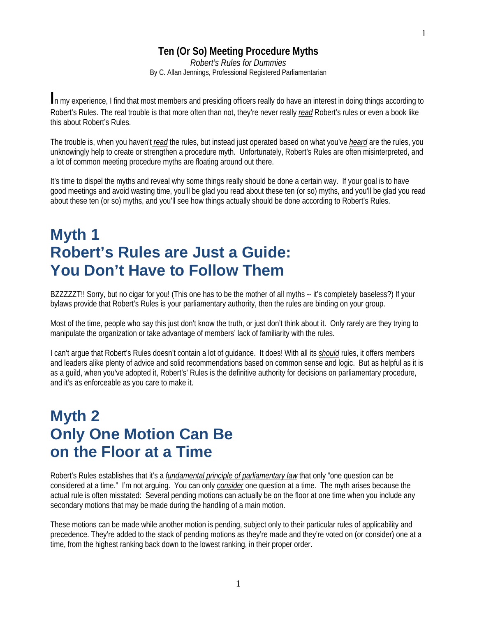#### **Ten (Or So) Meeting Procedure Myths**

*Robert's Rules for Dummies* By C. Allan Jennings, Professional Registered Parliamentarian

**I**n my experience, I find that most members and presiding officers really do have an interest in doing things according to Robert's Rules. The real trouble is that more often than not, they're never really *read* Robert's rules or even a book like this about Robert's Rules.

The trouble is, when you haven't *read* the rules, but instead just operated based on what you've *heard* are the rules, you unknowingly help to create or strengthen a procedure myth. Unfortunately, Robert's Rules are often misinterpreted, and a lot of common meeting procedure myths are floating around out there.

It's time to dispel the myths and reveal why some things really should be done a certain way. If your goal is to have good meetings and avoid wasting time, you'll be glad you read about these ten (or so) myths, and you'll be glad you read about these ten (or so) myths, and you'll see how things actually should be done according to Robert's Rules.

## **Myth 1 Robert's Rules are Just a Guide: You Don't Have to Follow Them**

BZZZZZT!! Sorry, but no cigar for you! (This one has to be the mother of all myths -- it's completely baseless?) If your bylaws provide that Robert's Rules is your parliamentary authority, then the rules are binding on your group.

Most of the time, people who say this just don't know the truth, or just don't think about it. Only rarely are they trying to manipulate the organization or take advantage of members' lack of familiarity with the rules.

I can't argue that Robert's Rules doesn't contain a lot of guidance. It does! With all its *should* rules, it offers members and leaders alike plenty of advice and solid recommendations based on common sense and logic. But as helpful as it is as a guild, when you've adopted it, Robert's' Rules is the definitive authority for decisions on parliamentary procedure, and it's as enforceable as you care to make it.

# **Myth 2 Only One Motion Can Be on the Floor at a Time**

Robert's Rules establishes that it's a *fundamental principle of parliamentary law* that only "one question can be considered at a time." I'm not arguing. You can only *consider* one question at a time. The myth arises because the actual rule is often misstated: Several pending motions can actually be on the floor at one time when you include any secondary motions that may be made during the handling of a main motion.

These motions can be made while another motion is pending, subject only to their particular rules of applicability and precedence. They're added to the stack of pending motions as they're made and they're voted on (or consider) one at a time, from the highest ranking back down to the lowest ranking, in their proper order.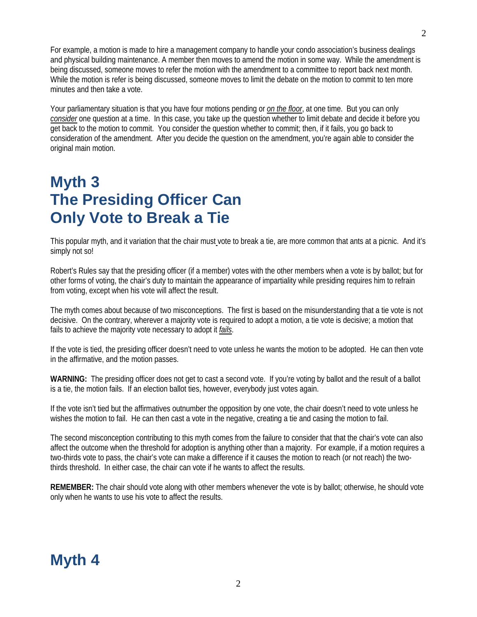For example, a motion is made to hire a management company to handle your condo association's business dealings and physical building maintenance. A member then moves to amend the motion in some way. While the amendment is being discussed, someone moves to refer the motion with the amendment to a committee to report back next month. While the motion is refer is being discussed, someone moves to limit the debate on the motion to commit to ten more minutes and then take a vote.

Your parliamentary situation is that you have four motions pending or *on the floor*, at one time. But you can only *consider* one question at a time. In this case, you take up the question whether to limit debate and decide it before you get back to the motion to commit. You consider the question whether to commit; then, if it fails, you go back to consideration of the amendment. After you decide the question on the amendment, you're again able to consider the original main motion.

# **Myth 3 The Presiding Officer Can Only Vote to Break a Tie**

This popular myth, and it variation that the chair must vote to break a tie, are more common that ants at a picnic. And it's simply not so!

Robert's Rules say that the presiding officer (if a member) votes with the other members when a vote is by ballot; but for other forms of voting, the chair's duty to maintain the appearance of impartiality while presiding requires him to refrain from voting, except when his vote will affect the result.

The myth comes about because of two misconceptions. The first is based on the misunderstanding that a tie vote is not decisive. On the contrary, wherever a majority vote is required to adopt a motion, a tie vote is decisive; a motion that fails to achieve the majority vote necessary to adopt it *fails*.

If the vote is tied, the presiding officer doesn't need to vote unless he wants the motion to be adopted. He can then vote in the affirmative, and the motion passes.

**WARNING:** The presiding officer does not get to cast a second vote. If you're voting by ballot and the result of a ballot is a tie, the motion fails. If an election ballot ties, however, everybody just votes again.

If the vote isn't tied but the affirmatives outnumber the opposition by one vote, the chair doesn't need to vote unless he wishes the motion to fail. He can then cast a vote in the negative, creating a tie and casing the motion to fail.

The second misconception contributing to this myth comes from the failure to consider that that the chair's vote can also affect the outcome when the threshold for adoption is anything other than a majority. For example, if a motion requires a two-thirds vote to pass, the chair's vote can make a difference if it causes the motion to reach (or not reach) the twothirds threshold. In either case, the chair can vote if he wants to affect the results.

**REMEMBER:** The chair should vote along with other members whenever the vote is by ballot; otherwise, he should vote only when he wants to use his vote to affect the results.

#### **Myth 4**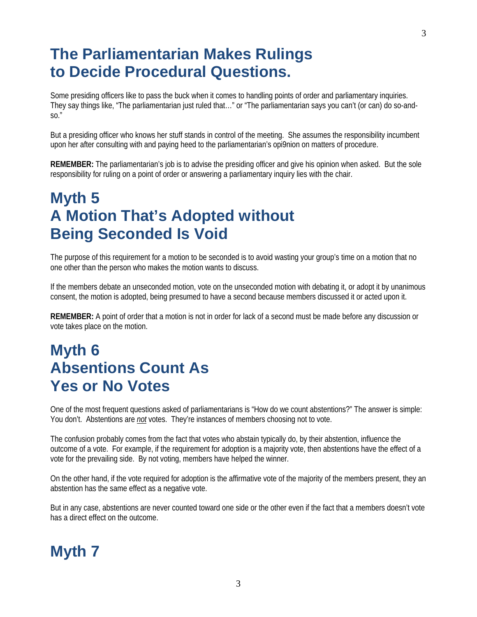## **The Parliamentarian Makes Rulings to Decide Procedural Questions.**

Some presiding officers like to pass the buck when it comes to handling points of order and parliamentary inquiries. They say things like, "The parliamentarian just ruled that…" or "The parliamentarian says you can't (or can) do so-and- $SO."$ 

But a presiding officer who knows her stuff stands in control of the meeting. She assumes the responsibility incumbent upon her after consulting with and paying heed to the parliamentarian's opi9nion on matters of procedure.

**REMEMBER:** The parliamentarian's job is to advise the presiding officer and give his opinion when asked. But the sole responsibility for ruling on a point of order or answering a parliamentary inquiry lies with the chair.

# **Myth 5 A Motion That's Adopted without Being Seconded Is Void**

The purpose of this requirement for a motion to be seconded is to avoid wasting your group's time on a motion that no one other than the person who makes the motion wants to discuss.

If the members debate an unseconded motion, vote on the unseconded motion with debating it, or adopt it by unanimous consent, the motion is adopted, being presumed to have a second because members discussed it or acted upon it.

**REMEMBER:** A point of order that a motion is not in order for lack of a second must be made before any discussion or vote takes place on the motion.

# **Myth 6 Absentions Count As Yes or No Votes**

One of the most frequent questions asked of parliamentarians is "How do we count abstentions?" The answer is simple: You don't. Abstentions are *not* votes. They're instances of members choosing not to vote.

The confusion probably comes from the fact that votes who abstain typically do, by their abstention, influence the outcome of a vote. For example, if the requirement for adoption is a majority vote, then abstentions have the effect of a vote for the prevailing side. By not voting, members have helped the winner.

On the other hand, if the vote required for adoption is the affirmative vote of the majority of the members present, they an abstention has the same effect as a negative vote.

But in any case, abstentions are never counted toward one side or the other even if the fact that a members doesn't vote has a direct effect on the outcome.

# **Myth 7**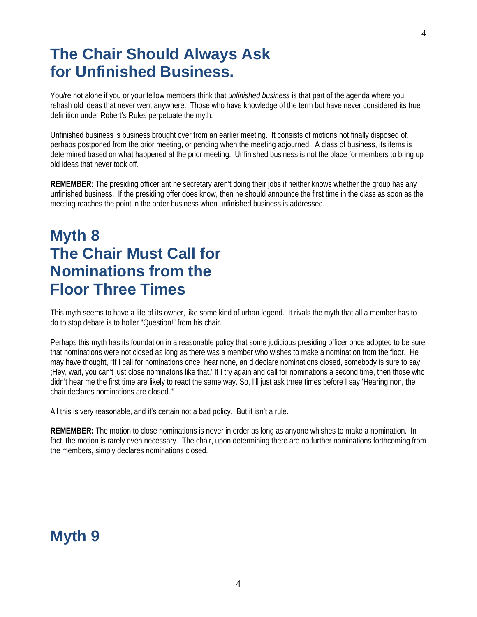#### **The Chair Should Always Ask for Unfinished Business.**

You/re not alone if you or your fellow members think that *unfinished business* is that part of the agenda where you rehash old ideas that never went anywhere. Those who have knowledge of the term but have never considered its true definition under Robert's Rules perpetuate the myth.

Unfinished business is business brought over from an earlier meeting. It consists of motions not finally disposed of, perhaps postponed from the prior meeting, or pending when the meeting adjourned. A class of business, its items is determined based on what happened at the prior meeting. Unfinished business is not the place for members to bring up old ideas that never took off.

**REMEMBER:** The presiding officer ant he secretary aren't doing their jobs if neither knows whether the group has any unfinished business. If the presiding offer does know, then he should announce the first time in the class as soon as the meeting reaches the point in the order business when unfinished business is addressed.

## **Myth 8 The Chair Must Call for Nominations from the Floor Three Times**

This myth seems to have a life of its owner, like some kind of urban legend. It rivals the myth that all a member has to do to stop debate is to holler "Question!" from his chair.

Perhaps this myth has its foundation in a reasonable policy that some judicious presiding officer once adopted to be sure that nominations were not closed as long as there was a member who wishes to make a nomination from the floor. He may have thought, "If I call for nominations once, hear none, an d declare nominations closed, somebody is sure to say, ;Hey, wait, you can't just close nominatons like that.' If I try again and call for nominations a second time, then those who didn't hear me the first time are likely to react the same way. So, I'll just ask three times before I say 'Hearing non, the chair declares nominations are closed.'"

All this is very reasonable, and it's certain not a bad policy. But it isn't a rule.

**REMEMBER:** The motion to close nominations is never in order as long as anyone whishes to make a nomination. In fact, the motion is rarely even necessary. The chair, upon determining there are no further nominations forthcoming from the members, simply declares nominations closed.

#### **Myth 9**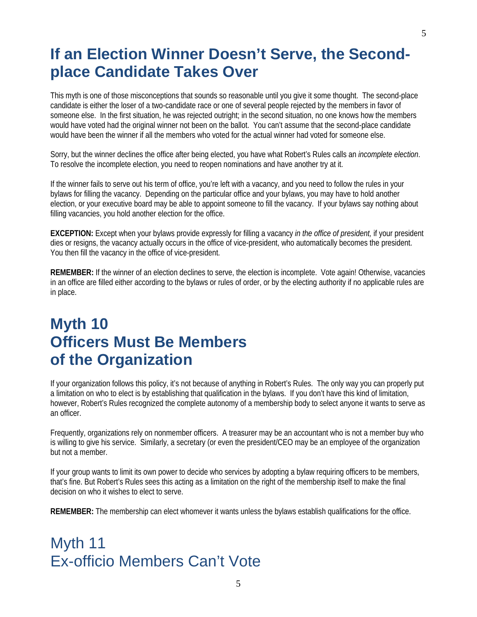#### **If an Election Winner Doesn't Serve, the Secondplace Candidate Takes Over**

This myth is one of those misconceptions that sounds so reasonable until you give it some thought. The second-place candidate is either the loser of a two-candidate race or one of several people rejected by the members in favor of someone else. In the first situation, he was rejected outright; in the second situation, no one knows how the members would have voted had the original winner not been on the ballot. You can't assume that the second-place candidate would have been the winner if all the members who voted for the actual winner had voted for someone else.

Sorry, but the winner declines the office after being elected, you have what Robert's Rules calls an *incomplete election*. To resolve the incomplete election, you need to reopen nominations and have another try at it.

If the winner fails to serve out his term of office, you're left with a vacancy, and you need to follow the rules in your bylaws for filling the vacancy. Depending on the particular office and your bylaws, you may have to hold another election, or your executive board may be able to appoint someone to fill the vacancy. If your bylaws say nothing about filling vacancies, you hold another election for the office.

**EXCEPTION:** Except when your bylaws provide expressly for filling a vacancy *in the office of president,* if your president dies or resigns, the vacancy actually occurs in the office of vice-president, who automatically becomes the president. You then fill the vacancy in the office of vice-president.

**REMEMBER:** If the winner of an election declines to serve, the election is incomplete. Vote again! Otherwise, vacancies in an office are filled either according to the bylaws or rules of order, or by the electing authority if no applicable rules are in place.

# **Myth 10 Officers Must Be Members of the Organization**

If your organization follows this policy, it's not because of anything in Robert's Rules. The only way you can properly put a limitation on who to elect is by establishing that qualification in the bylaws. If you don't have this kind of limitation, however, Robert's Rules recognized the complete autonomy of a membership body to select anyone it wants to serve as an officer.

Frequently, organizations rely on nonmember officers. A treasurer may be an accountant who is not a member buy who is willing to give his service. Similarly, a secretary (or even the president/CEO may be an employee of the organization but not a member.

If your group wants to limit its own power to decide who services by adopting a bylaw requiring officers to be members, that's fine. But Robert's Rules sees this acting as a limitation on the right of the membership itself to make the final decision on who it wishes to elect to serve.

**REMEMBER:** The membership can elect whomever it wants unless the bylaws establish qualifications for the office.

```
Myth 11
Ex-officio Members Can't Vote
```